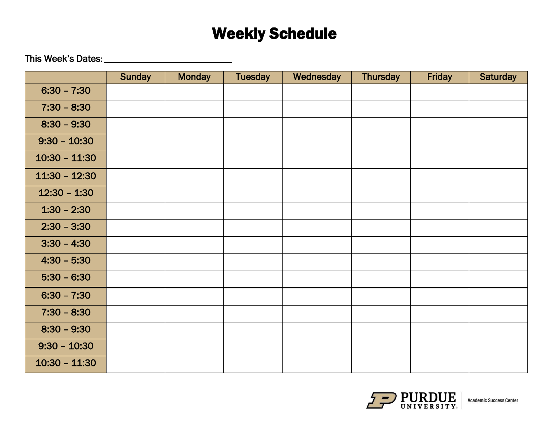## Weekly Schedule

This Week's Dates:

|                 | <b>Sunday</b> | <b>Monday</b> | <b>Tuesday</b> | Wednesday | <b>Thursday</b> | Friday | <b>Saturday</b> |
|-----------------|---------------|---------------|----------------|-----------|-----------------|--------|-----------------|
| $6:30 - 7:30$   |               |               |                |           |                 |        |                 |
| $7:30 - 8:30$   |               |               |                |           |                 |        |                 |
| $8:30 - 9:30$   |               |               |                |           |                 |        |                 |
| $9:30 - 10:30$  |               |               |                |           |                 |        |                 |
| $10:30 - 11:30$ |               |               |                |           |                 |        |                 |
| $11:30 - 12:30$ |               |               |                |           |                 |        |                 |
| $12:30 - 1:30$  |               |               |                |           |                 |        |                 |
| $1:30 - 2:30$   |               |               |                |           |                 |        |                 |
| $2:30 - 3:30$   |               |               |                |           |                 |        |                 |
| $3:30 - 4:30$   |               |               |                |           |                 |        |                 |
| $4:30 - 5:30$   |               |               |                |           |                 |        |                 |
| $5:30 - 6:30$   |               |               |                |           |                 |        |                 |
| $6:30 - 7:30$   |               |               |                |           |                 |        |                 |
| $7:30 - 8:30$   |               |               |                |           |                 |        |                 |
| $8:30 - 9:30$   |               |               |                |           |                 |        |                 |
| $9:30 - 10:30$  |               |               |                |           |                 |        |                 |
| $10:30 - 11:30$ |               |               |                |           |                 |        |                 |